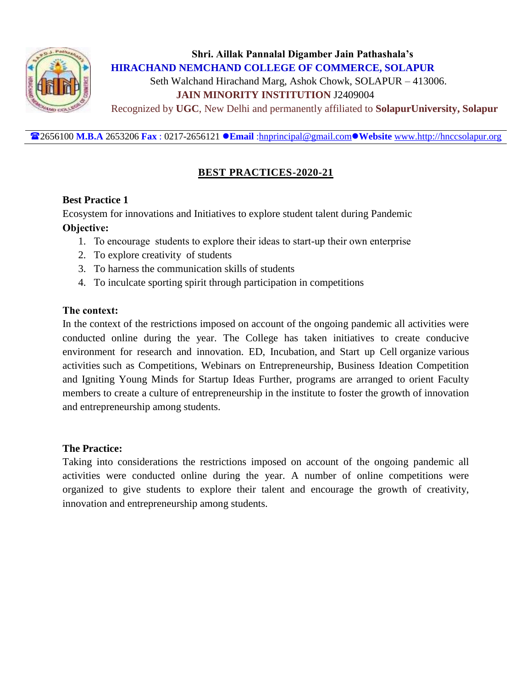

2656100 **M.B.A** 2653206 **Fax** : 0217-2656121 **Email** [:hnprincipal@gmail.com](mailto:hnprincipal@gmail.com)**Website** [www.http://hnccsolapur.org](http://www.http/hnccsolapur.org)

# **BEST PRACTICES-2020-21**

# **Best Practice 1**

Ecosystem for innovations and Initiatives to explore student talent during Pandemic **Objective:** 

- 1. To encourage students to explore their ideas to start-up their own enterprise
- 2. To explore creativity of students
- 3. To harness the communication skills of students
- 4. To inculcate sporting spirit through participation in competitions

# **The context:**

In the context of the restrictions imposed on account of the ongoing pandemic all activities were conducted online during the year. The College has taken initiatives to create conducive environment for research and innovation. ED, Incubation, and Start up Cell organize various activities such as Competitions, Webinars on Entrepreneurship, Business Ideation Competition and Igniting Young Minds for Startup Ideas Further, programs are arranged to orient Faculty members to create a culture of entrepreneurship in the institute to foster the growth of innovation and entrepreneurship among students.

## **The Practice:**

Taking into considerations the restrictions imposed on account of the ongoing pandemic all activities were conducted online during the year. A number of online competitions were organized to give students to explore their talent and encourage the growth of creativity, innovation and entrepreneurship among students.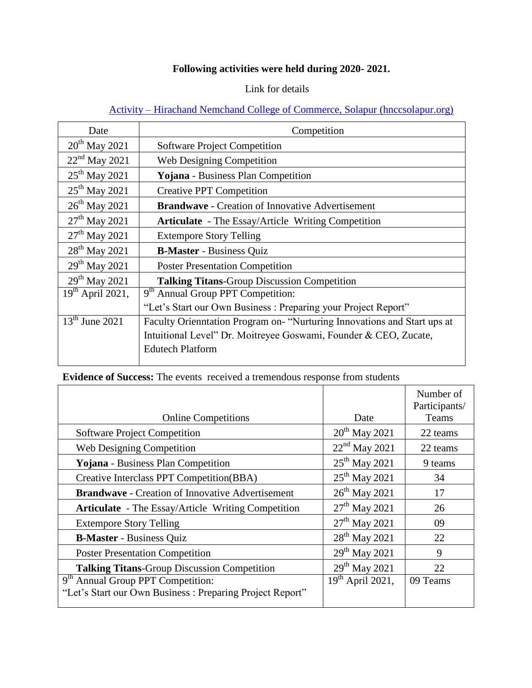# **Following activities were held during 2020- 2021.**

#### Link for details

# Activity – [Hirachand Nemchand College of Commerce, Solapur \(hnccsolapur.org\)](http://hnccsolapur.org/activity/)

| Date                      | Competition                                                              |  |  |
|---------------------------|--------------------------------------------------------------------------|--|--|
| $20th$ May 2021           | <b>Software Project Competition</b>                                      |  |  |
| $22nd$ May 2021           | <b>Web Designing Competition</b>                                         |  |  |
| $25^{th}$ May 2021        | Yojana - Business Plan Competition                                       |  |  |
| $25^{th}$ May 2021        | <b>Creative PPT Competition</b>                                          |  |  |
| $26^{th}$ May 2021        | <b>Brandwave - Creation of Innovative Advertisement</b>                  |  |  |
| $27th$ May 2021           | <b>Articulate</b> - The Essay/Article Writing Competition                |  |  |
| $27th$ May 2021           | <b>Extempore Story Telling</b>                                           |  |  |
| 28 <sup>th</sup> May 2021 | <b>B-Master</b> - Business Quiz                                          |  |  |
| $29^{th}$ May 2021        | <b>Poster Presentation Competition</b>                                   |  |  |
| 29 <sup>th</sup> May 2021 | <b>Talking Titans-Group Discussion Competition</b>                       |  |  |
| $19th$ April 2021,        | 9 <sup>th</sup> Annual Group PPT Competition:                            |  |  |
|                           | "Let's Start our Own Business: Preparing your Project Report"            |  |  |
| $13^{th}$ June 2021       | Faculty Orienntation Program on- "Nurturing Innovations and Start ups at |  |  |
|                           | Intuitional Level" Dr. Moitreyee Goswami, Founder & CEO, Zucate,         |  |  |
|                           | <b>Edutech Platform</b>                                                  |  |  |
|                           |                                                                          |  |  |

**Evidence of Success:** The events received a tremendous response from students

|                                                           |                           | Number of<br>Participants/ |
|-----------------------------------------------------------|---------------------------|----------------------------|
| <b>Online Competitions</b>                                | Date                      | Teams                      |
| <b>Software Project Competition</b>                       | $20^{th}$ May 2021        | 22 teams                   |
| <b>Web Designing Competition</b>                          | $22nd$ May 2021           | 22 teams                   |
| Yojana - Business Plan Competition                        | $25^{th}$ May 2021        | 9 teams                    |
| Creative Interclass PPT Competition(BBA)                  | $25^{th}$ May 2021        | 34                         |
| <b>Brandwave</b> - Creation of Innovative Advertisement   | 26 <sup>th</sup> May 2021 | 17                         |
| <b>Articulate</b> - The Essay/Article Writing Competition | $27th$ May 2021           | 26                         |
| <b>Extempore Story Telling</b>                            | $27th$ May 2021           | 09                         |
| <b>B-Master</b> - Business Quiz                           | $28^{th}$ May 2021        | 22                         |
| <b>Poster Presentation Competition</b>                    | $29^{th}$ May 2021        | 9                          |
| <b>Talking Titans-Group Discussion Competition</b>        | $29^{th}$ May 2021        | 22                         |
| 9 <sup>th</sup> Annual Group PPT Competition:             | $19th$ April 2021,        | 09 Teams                   |
| "Let's Start our Own Business: Preparing Project Report"  |                           |                            |
|                                                           |                           |                            |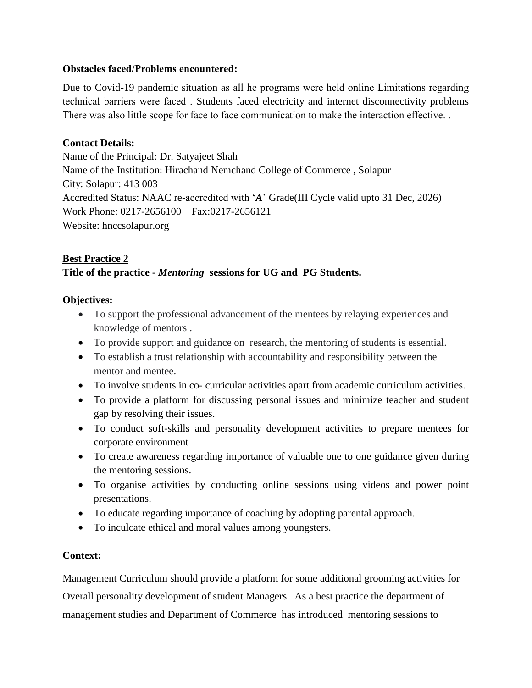#### **Obstacles faced/Problems encountered:**

Due to Covid-19 pandemic situation as all he programs were held online Limitations regarding technical barriers were faced . Students faced electricity and internet disconnectivity problems There was also little scope for face to face communication to make the interaction effective. .

#### **Contact Details:**

Name of the Principal: Dr. Satyajeet Shah Name of the Institution: Hirachand Nemchand College of Commerce , Solapur City: Solapur: 413 003 Accredited Status: NAAC re-accredited with "*A*" Grade(III Cycle valid upto 31 Dec, 2026) Work Phone: 0217-2656100 Fax:0217-2656121 Website: hnccsolapur.org

## **Best Practice 2**

## **Title of the practice -** *Mentoring* **sessions for UG and PG Students.**

#### **Objectives:**

- To support the professional advancement of the mentees by relaying experiences and knowledge of mentors .
- To provide support and guidance on research, the mentoring of students is essential.
- To establish a trust relationship with accountability and responsibility between the mentor and mentee.
- To involve students in co- curricular activities apart from academic curriculum activities.
- To provide a platform for discussing personal issues and minimize teacher and student gap by resolving their issues.
- To conduct soft-skills and personality development activities to prepare mentees for corporate environment
- To create awareness regarding importance of valuable one to one guidance given during the mentoring sessions.
- To organise activities by conducting online sessions using videos and power point presentations.
- To educate regarding importance of coaching by adopting parental approach.
- To inculcate ethical and moral values among youngsters.

## **Context:**

Management Curriculum should provide a platform for some additional grooming activities for Overall personality development of student Managers. As a best practice the department of management studies and Department of Commerce has introduced mentoring sessions to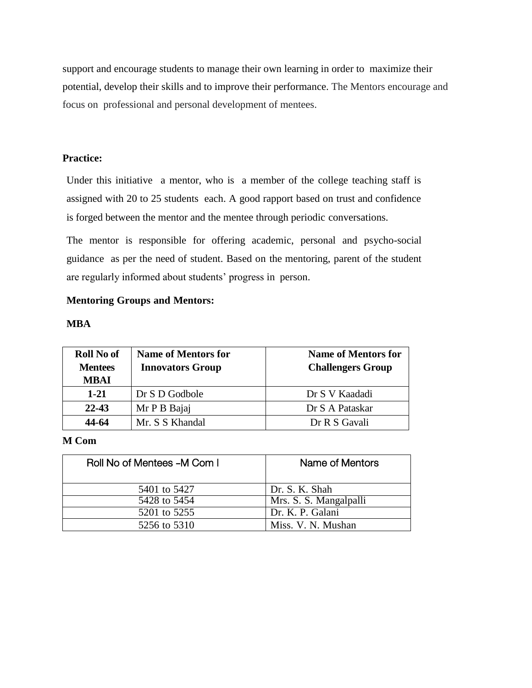support and encourage students to manage their own learning in order to maximize their potential, develop their skills and to improve their performance. The Mentors encourage and focus on professional and personal development of mentees.

#### **Practice:**

Under this initiative a mentor, who is a member of the college teaching staff is assigned with 20 to 25 students each. A good rapport based on trust and confidence is forged between the mentor and the mentee through periodic conversations.

The mentor is responsible for offering academic, personal and psycho-social guidance as per the need of student. Based on the mentoring, parent of the student are regularly informed about students' progress in person.

#### **Mentoring Groups and Mentors:**

#### **MBA**

| <b>Roll No of</b><br><b>Mentees</b><br>MBAI | <b>Name of Mentors for</b><br><b>Innovators Group</b> | <b>Name of Mentors for</b><br><b>Challengers Group</b> |
|---------------------------------------------|-------------------------------------------------------|--------------------------------------------------------|
| $1 - 21$                                    | Dr S D Godbole                                        | Dr S V Kaadadi                                         |
| $22 - 43$                                   | Mr P B Bajaj                                          | Dr S A Pataskar                                        |
| 44-64                                       | Mr. S S Khandal                                       | Dr R S Gavali                                          |

#### **M Com**

| Roll No of Mentees -M Com I | Name of Mentors        |  |
|-----------------------------|------------------------|--|
| 5401 to 5427                | Dr. S. K. Shah         |  |
| 5428 to 5454                | Mrs. S. S. Mangalpalli |  |
| 5201 to 5255                | Dr. K. P. Galani       |  |
| 5256 to 5310                | Miss. V. N. Mushan     |  |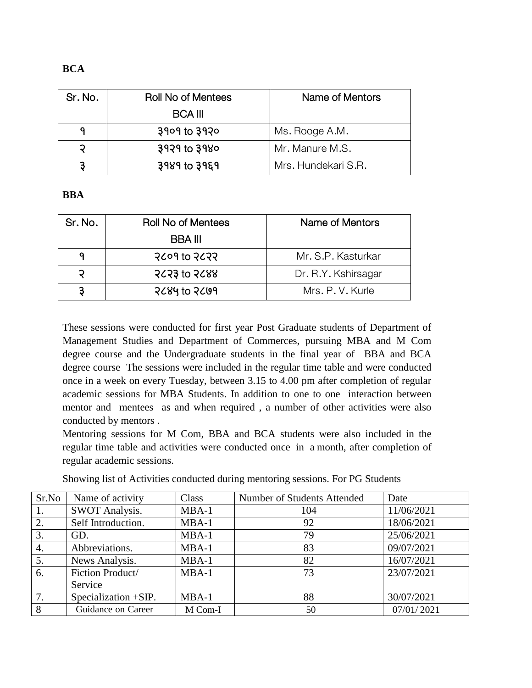| Sr. No. | <b>Roll No of Mentees</b> | Name of Mentors     |  |
|---------|---------------------------|---------------------|--|
|         | <b>BCA III</b>            |                     |  |
|         | $3909$ to $3920$          | Ms. Rooge A.M.      |  |
|         | $3929$ to $3980$          | Mr. Manure M.S.     |  |
|         | $3989$ to $3969$          | Mrs. Hundekari S.R. |  |

#### **BBA**

| Sr. No. | <b>Roll No of Mentees</b> | Name of Mentors     |
|---------|---------------------------|---------------------|
|         | <b>BBA III</b>            |                     |
|         | $2$ coq to $2$ c $2$      | Mr. S.P. Kasturkar  |
| ວ       | <b>PCP3 to PC88</b>       | Dr. R.Y. Kshirsagar |
|         | $2684$ to $2699$          | Mrs. P. V. Kurle    |

These sessions were conducted for first year Post Graduate students of Department of Management Studies and Department of Commerces, pursuing MBA and M Com degree course and the Undergraduate students in the final year of BBA and BCA degree course The sessions were included in the regular time table and were conducted once in a week on every Tuesday, between 3.15 to 4.00 pm after completion of regular academic sessions for MBA Students. In addition to one to one interaction between mentor and mentees as and when required , a number of other activities were also conducted by mentors .

Mentoring sessions for M Com, BBA and BCA students were also included in the regular time table and activities were conducted once in a month, after completion of regular academic sessions.

Showing list of Activities conducted during mentoring sessions. For PG Students

| Sr.No | Name of activity      | Class   | Number of Students Attended | Date       |
|-------|-----------------------|---------|-----------------------------|------------|
| 1.    | <b>SWOT Analysis.</b> | $MBA-1$ | 104                         | 11/06/2021 |
| 2.    | Self Introduction.    | $MBA-1$ | 92                          | 18/06/2021 |
| 3.    | GD.                   | $MBA-1$ | 79                          | 25/06/2021 |
| 4.    | Abbreviations.        | $MBA-1$ | 83                          | 09/07/2021 |
| 5.    | News Analysis.        | $MBA-1$ | 82                          | 16/07/2021 |
| 6.    | Fiction Product/      | $MBA-1$ | 73                          | 23/07/2021 |
|       | Service               |         |                             |            |
| 7.    | Specialization +SIP.  | $MBA-1$ | 88                          | 30/07/2021 |
| 8     | Guidance on Career    | M Com-I | 50                          | 07/01/2021 |